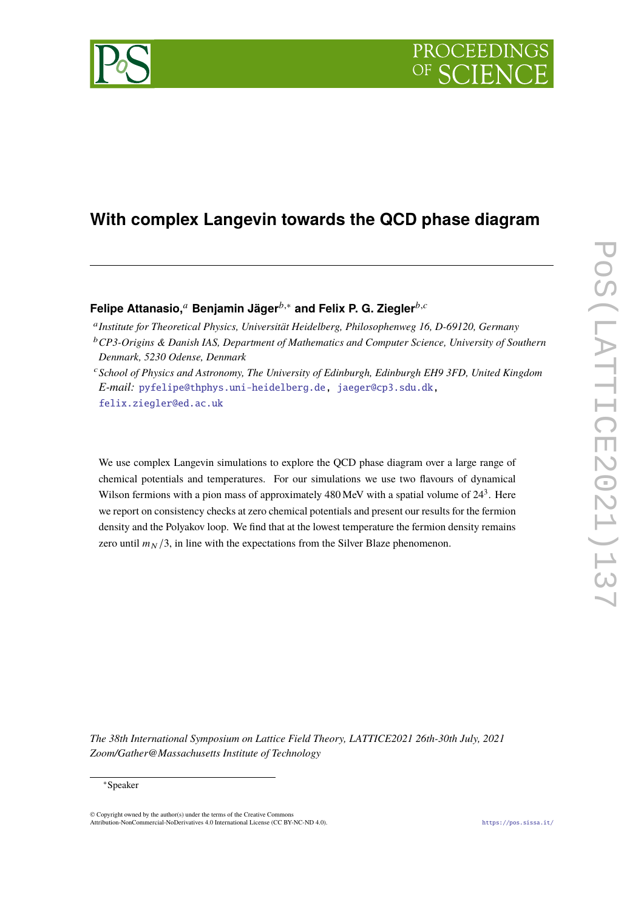

# **With complex Langevin towards the QCD phase diagram**

**Felipe Attanasio,**<sup>*a*</sup> **Benjamin Jäger**<sup>*b*,∗</sup> and Felix P. G. Ziegler<sup>*b,c*</sup>

<sup>a</sup> Institute for Theoretical Physics, Universität Heidelberg, Philosophenweg 16, D-69120, Germany

We use complex Langevin simulations to explore the QCD phase diagram over a large range of chemical potentials and temperatures. For our simulations we use two flavours of dynamical Wilson fermions with a pion mass of approximately  $480 \,\text{MeV}$  with a spatial volume of  $24<sup>3</sup>$ . Here we report on consistency checks at zero chemical potentials and present our results for the fermion density and the Polyakov loop. We find that at the lowest temperature the fermion density remains zero until  $m_N/3$ , in line with the expectations from the Silver Blaze phenomenon.

*The 38th International Symposium on Lattice Field Theory, LATTICE2021 26th-30th July, 2021 Zoom/Gather@Massachusetts Institute of Technology*

<sup>&</sup>lt;sup>b</sup> CP3-Origins & Danish IAS, Department of Mathematics and Computer Science, University of Southern *Denmark, 5230 Odense, Denmark*

<sup>𝑐</sup>*School of Physics and Astronomy, The University of Edinburgh, Edinburgh EH9 3FD, United Kingdom E-mail:* [pyfelipe@thphys.uni-heidelberg.de,](mailto:pyfelipe@thphys.uni-heidelberg.de) [jaeger@cp3.sdu.dk,](mailto:jaeger@cp3.sdu.dk) [felix.ziegler@ed.ac.uk](mailto:felix.ziegler@ed.ac.uk)

<sup>∗</sup>Speaker

 $\odot$  Copyright owned by the author(s) under the terms of the Creative Common Attribution-NonCommercial-NoDerivatives 4.0 International License (CC BY-NC-ND 4.0). <https://pos.sissa.it/>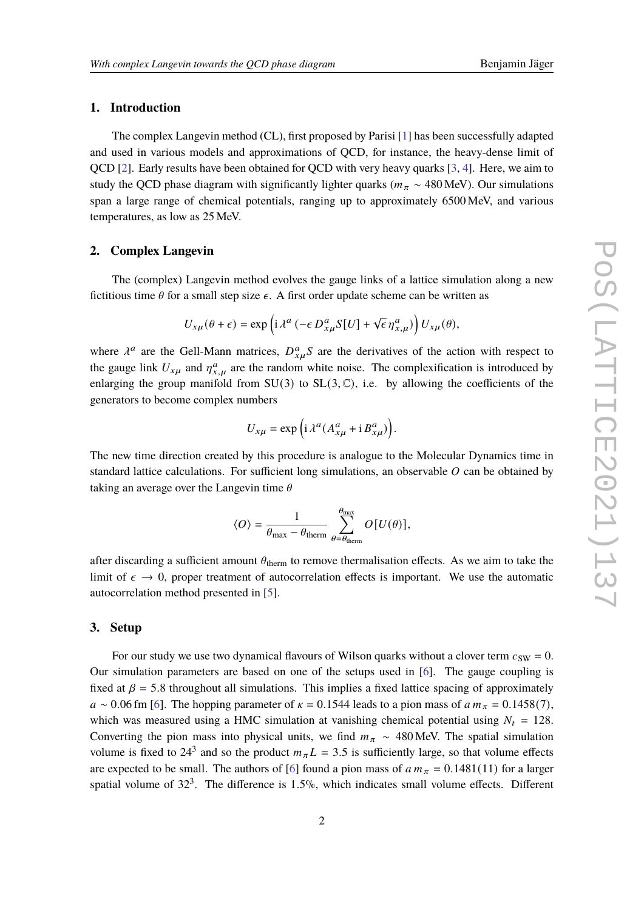# **1. Introduction**

The complex Langevin method (CL), first proposed by Parisi [\[1\]](#page-5-0) has been successfully adapted and used in various models and approximations of QCD, for instance, the heavy-dense limit of QCD [\[2\]](#page-5-1). Early results have been obtained for QCD with very heavy quarks [\[3,](#page-5-2) [4\]](#page-5-3). Here, we aim to study the QCD phase diagram with significantly lighter quarks ( $m_{\pi} \sim 480$  MeV). Our simulations span a large range of chemical potentials, ranging up to approximately 6500 MeV, and various temperatures, as low as 25 MeV.

#### **2. Complex Langevin**

The (complex) Langevin method evolves the gauge links of a lattice simulation along a new fictitious time  $\theta$  for a small step size  $\epsilon$ . A first order update scheme can be written as

$$
U_{x\mu}(\theta + \epsilon) = \exp\left(i\lambda^a \left(-\epsilon D_{x\mu}^a S[U] + \sqrt{\epsilon} \eta_{x,\mu}^a\right)\right) U_{x\mu}(\theta),
$$

where  $\lambda^a$  are the Gell-Mann matrices,  $D_{x,u}^a S$  are the derivatives of the action with respect to the gauge link  $U_{x\mu}$  and  $\eta_{x\mu}^a$  are the random white noise. The complexification is introduced by enlarging the group manifold from  $SU(3)$  to  $SL(3,\mathbb{C})$ , i.e. by allowing the coefficients of the generators to become complex numbers

$$
U_{x\mu} = \exp\left(i\lambda^a (A_{x\mu}^a + i B_{x\mu}^a)\right).
$$

The new time direction created by this procedure is analogue to the Molecular Dynamics time in standard lattice calculations. For sufficient long simulations, an observable  $O$  can be obtained by taking an average over the Langevin time  $\theta$ 

$$
\langle O \rangle = \frac{1}{\theta_{\text{max}} - \theta_{\text{therm}}} \sum_{\theta = \theta_{\text{therm}}}^{\theta_{\text{max}}} O[U(\theta)],
$$

after discarding a sufficient amount  $\theta_{\text{therm}}$  to remove thermalisation effects. As we aim to take the limit of  $\epsilon \to 0$ , proper treatment of autocorrelation effects is important. We use the automatic autocorrelation method presented in [\[5\]](#page-5-4).

### **3. Setup**

For our study we use two dynamical flavours of Wilson quarks without a clover term  $c_{SW} = 0$ . Our simulation parameters are based on one of the setups used in [\[6\]](#page-6-0). The gauge coupling is fixed at  $\beta = 5.8$  throughout all simulations. This implies a fixed lattice spacing of approximately  $a \sim 0.06$  fm [\[6\]](#page-6-0). The hopping parameter of  $\kappa = 0.1544$  leads to a pion mass of  $a m_{\pi} = 0.1458(7)$ , which was measured using a HMC simulation at vanishing chemical potential using  $N_t = 128$ . Converting the pion mass into physical units, we find  $m_{\pi} \sim 480$  MeV. The spatial simulation volume is fixed to 24<sup>3</sup> and so the product  $m_{\pi}L = 3.5$  is sufficiently large, so that volume effects are expected to be small. The authors of [\[6\]](#page-6-0) found a pion mass of  $a m_{\pi} = 0.1481(11)$  for a larger spatial volume of  $32<sup>3</sup>$ . The difference is 1.5%, which indicates small volume effects. Different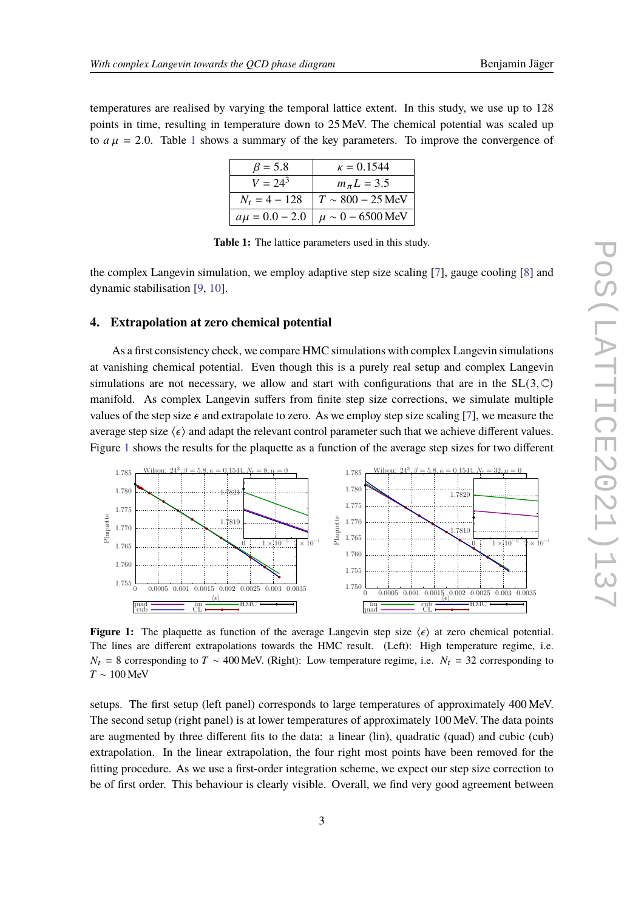<span id="page-2-0"></span>temperatures are realised by varying the temporal lattice extent. In this study, we use up to 128 points in time, resulting in temperature down to 25 MeV. The chemical potential was scaled up to  $a\mu = 2.0$ . Table [1](#page-2-0) shows a summary of the key parameters. To improve the convergence of

| $\beta = 5.8$   | $\kappa = 0.1544$                            |
|-----------------|----------------------------------------------|
| $V = 24^{3}$    | $m_{\pi}L = 3.5$                             |
| $N_t = 4 - 128$ | $T \sim 800 - 25$ MeV                        |
|                 | $a\mu = 0.0 - 2.0$   $\mu \sim 0 - 6500$ MeV |

**Table 1:** The lattice parameters used in this study.

the complex Langevin simulation, we employ adaptive step size scaling [\[7\]](#page-6-1), gauge cooling [\[8\]](#page-6-2) and dynamic stabilisation [\[9,](#page-6-3) [10\]](#page-6-4).

### **4. Extrapolation at zero chemical potential**

As a first consistency check, we compare HMC simulations with complex Langevin simulations at vanishing chemical potential. Even though this is a purely real setup and complex Langevin simulations are not necessary, we allow and start with configurations that are in the  $SL(3, \mathbb{C})$ manifold. As complex Langevin suffers from finite step size corrections, we simulate multiple values of the step size  $\epsilon$  and extrapolate to zero. As we employ step size scaling [\[7\]](#page-6-1), we measure the average step size  $\langle \epsilon \rangle$  and adapt the relevant control parameter such that we achieve different values. Figure [1](#page-2-1) shows the results for the plaquette as a function of the average step sizes for two different

<span id="page-2-1"></span>

**Figure 1:** The plaquette as function of the average Langevin step size  $\langle \epsilon \rangle$  at zero chemical potential. The lines are different extrapolations towards the HMC result. (Left): High temperature regime, i.e.  $N_t = 8$  corresponding to  $T \sim 400$  MeV. (Right): Low temperature regime, i.e.  $N_t = 32$  corresponding to  $T \sim 100$  MeV

setups. The first setup (left panel) corresponds to large temperatures of approximately 400 MeV. The second setup (right panel) is at lower temperatures of approximately 100 MeV. The data points are augmented by three different fits to the data: a linear (lin), quadratic (quad) and cubic (cub) extrapolation. In the linear extrapolation, the four right most points have been removed for the fitting procedure. As we use a first-order integration scheme, we expect our step size correction to be of first order. This behaviour is clearly visible. Overall, we find very good agreement between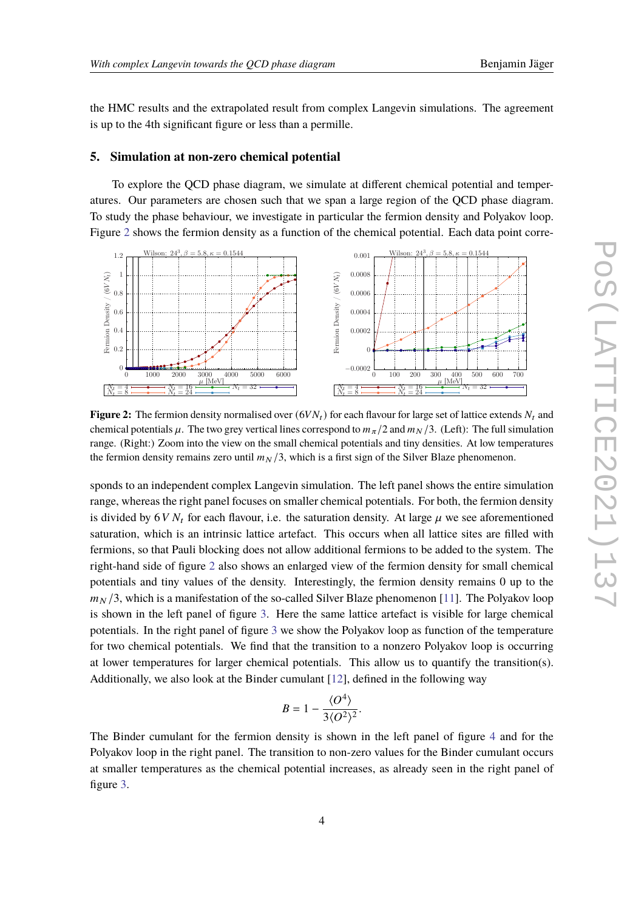the HMC results and the extrapolated result from complex Langevin simulations. The agreement is up to the 4th significant figure or less than a permille.

#### **5. Simulation at non-zero chemical potential**

To explore the QCD phase diagram, we simulate at different chemical potential and temperatures. Our parameters are chosen such that we span a large region of the QCD phase diagram. To study the phase behaviour, we investigate in particular the fermion density and Polyakov loop. Figure [2](#page-3-0) shows the fermion density as a function of the chemical potential. Each data point corre-

<span id="page-3-0"></span>

**Figure 2:** The fermion density normalised over  $(6VN_t)$  for each flavour for large set of lattice extends  $N_t$  and chemical potentials  $\mu$ . The two grey vertical lines correspond to  $m_{\pi}/2$  and  $m_{\gamma}/3$ . (Left): The full simulation range. (Right:) Zoom into the view on the small chemical potentials and tiny densities. At low temperatures the fermion density remains zero until  $m_N/3$ , which is a first sign of the Silver Blaze phenomenon.

sponds to an independent complex Langevin simulation. The left panel shows the entire simulation range, whereas the right panel focuses on smaller chemical potentials. For both, the fermion density is divided by  $6VM_t$  for each flavour, i.e. the saturation density. At large  $\mu$  we see aforementioned saturation, which is an intrinsic lattice artefact. This occurs when all lattice sites are filled with fermions, so that Pauli blocking does not allow additional fermions to be added to the system. The right-hand side of figure [2](#page-3-0) also shows an enlarged view of the fermion density for small chemical potentials and tiny values of the density. Interestingly, the fermion density remains 0 up to the  $m<sub>N</sub>/3$ , which is a manifestation of the so-called Silver Blaze phenomenon [\[11\]](#page-6-5). The Polyakov loop is shown in the left panel of figure [3.](#page-4-0) Here the same lattice artefact is visible for large chemical potentials. In the right panel of figure [3](#page-4-0) we show the Polyakov loop as function of the temperature for two chemical potentials. We find that the transition to a nonzero Polyakov loop is occurring at lower temperatures for larger chemical potentials. This allow us to quantify the transition(s). Additionally, we also look at the Binder cumulant [\[12\]](#page-6-6), defined in the following way

$$
B=1-\frac{\langle O^4\rangle}{3\langle O^2\rangle^2}.
$$

The Binder cumulant for the fermion density is shown in the left panel of figure [4](#page-4-1) and for the Polyakov loop in the right panel. The transition to non-zero values for the Binder cumulant occurs at smaller temperatures as the chemical potential increases, as already seen in the right panel of figure [3.](#page-4-0)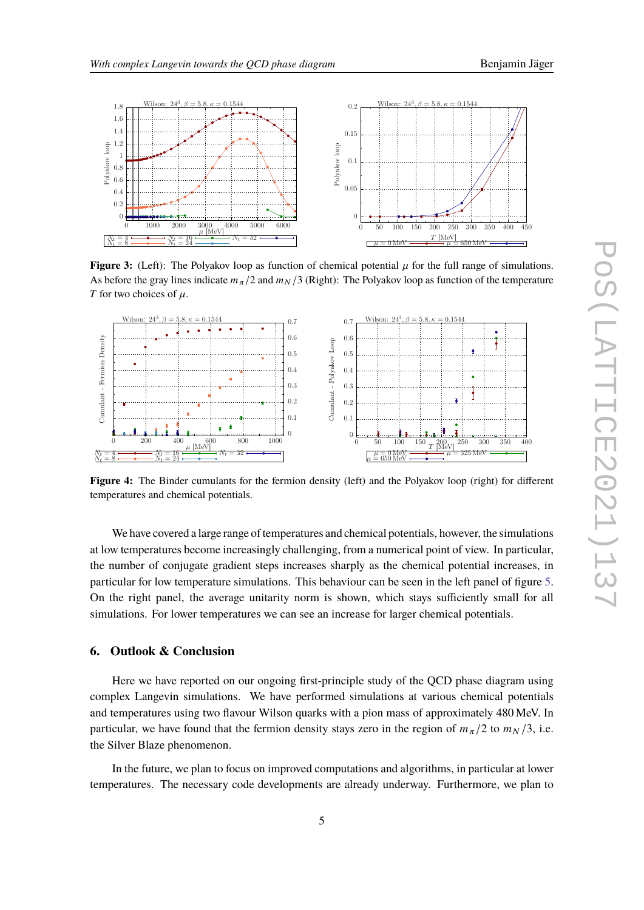<span id="page-4-0"></span>

**Figure 3:** (Left): The Polyakov loop as function of chemical potential  $\mu$  for the full range of simulations. As before the gray lines indicate  $m_\pi/2$  and  $m_N/3$  (Right): The Polyakov loop as function of the temperature T for two choices of  $\mu$ .

<span id="page-4-1"></span>

**Figure 4:** The Binder cumulants for the fermion density (left) and the Polyakov loop (right) for different temperatures and chemical potentials.

We have covered a large range of temperatures and chemical potentials, however, the simulations at low temperatures become increasingly challenging, from a numerical point of view. In particular, the number of conjugate gradient steps increases sharply as the chemical potential increases, in particular for low temperature simulations. This behaviour can be seen in the left panel of figure [5.](#page-5-5) On the right panel, the average unitarity norm is shown, which stays sufficiently small for all simulations. For lower temperatures we can see an increase for larger chemical potentials.

## **6. Outlook & Conclusion**

Here we have reported on our ongoing first-principle study of the QCD phase diagram using complex Langevin simulations. We have performed simulations at various chemical potentials and temperatures using two flavour Wilson quarks with a pion mass of approximately 480 MeV. In particular, we have found that the fermion density stays zero in the region of  $m_{\pi}/2$  to  $m_{\gamma}/3$ , i.e. the Silver Blaze phenomenon.

In the future, we plan to focus on improved computations and algorithms, in particular at lower temperatures. The necessary code developments are already underway. Furthermore, we plan to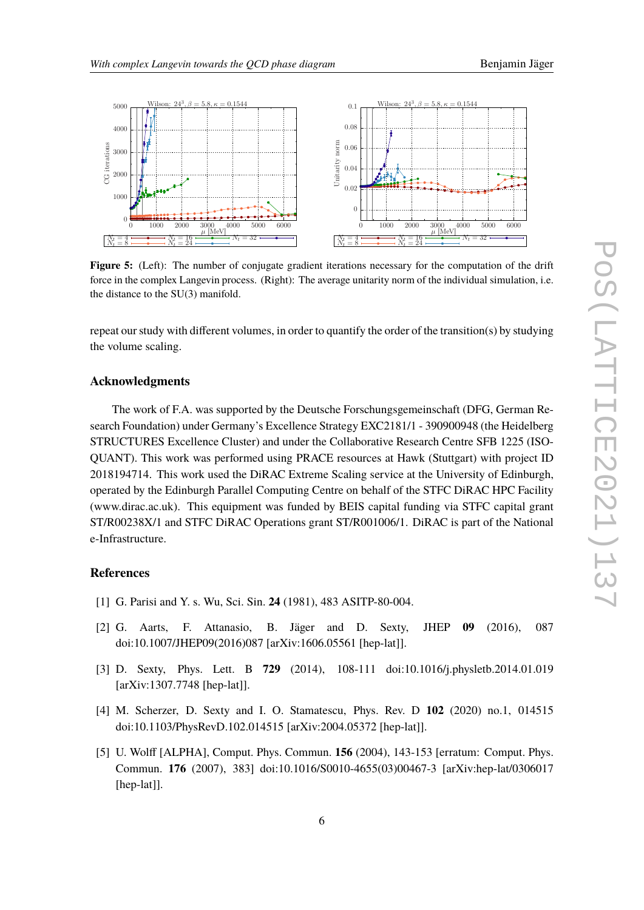<span id="page-5-5"></span>

Figure 5: (Left): The number of conjugate gradient iterations necessary for the computation of the drift force in the complex Langevin process. (Right): The average unitarity norm of the individual simulation, i.e. the distance to the SU(3) manifold.

repeat our study with different volumes, in order to quantify the order of the transition(s) by studying the volume scaling.

# **Acknowledgments**

The work of F.A. was supported by the Deutsche Forschungsgemeinschaft (DFG, German Research Foundation) under Germany's Excellence Strategy EXC2181/1 - 390900948 (the Heidelberg STRUCTURES Excellence Cluster) and under the Collaborative Research Centre SFB 1225 (ISO-QUANT). This work was performed using PRACE resources at Hawk (Stuttgart) with project ID 2018194714. This work used the DiRAC Extreme Scaling service at the University of Edinburgh, operated by the Edinburgh Parallel Computing Centre on behalf of the STFC DiRAC HPC Facility (www.dirac.ac.uk). This equipment was funded by BEIS capital funding via STFC capital grant ST/R00238X/1 and STFC DiRAC Operations grant ST/R001006/1. DiRAC is part of the National e-Infrastructure.

# **References**

- <span id="page-5-0"></span>[1] G. Parisi and Y. s. Wu, Sci. Sin. **24** (1981), 483 ASITP-80-004.
- <span id="page-5-1"></span>[2] G. Aarts, F. Attanasio, B. Jäger and D. Sexty, JHEP **09** (2016), 087 doi:10.1007/JHEP09(2016)087 [arXiv:1606.05561 [hep-lat]].
- <span id="page-5-2"></span>[3] D. Sexty, Phys. Lett. B **729** (2014), 108-111 doi:10.1016/j.physletb.2014.01.019 [arXiv:1307.7748 [hep-lat]].
- <span id="page-5-3"></span>[4] M. Scherzer, D. Sexty and I. O. Stamatescu, Phys. Rev. D **102** (2020) no.1, 014515 doi:10.1103/PhysRevD.102.014515 [arXiv:2004.05372 [hep-lat]].
- <span id="page-5-4"></span>[5] U. Wolff [ALPHA], Comput. Phys. Commun. **156** (2004), 143-153 [erratum: Comput. Phys. Commun. **176** (2007), 383] doi:10.1016/S0010-4655(03)00467-3 [arXiv:hep-lat/0306017 [hep-lat]].